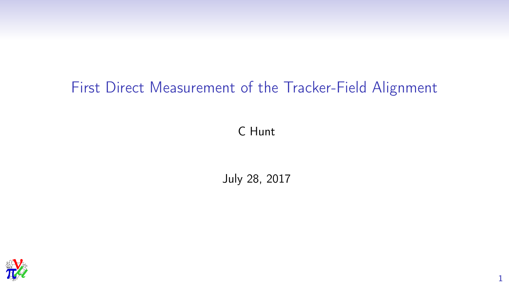### First Direct Measurement of the Tracker-Field Alignment

C Hunt

July 28, 2017

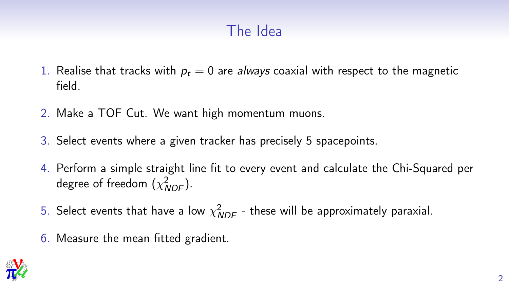# The Idea

- 1. Realise that tracks with  $p_t = 0$  are always coaxial with respect to the magnetic field.
- 2. Make a TOF Cut. We want high momentum muons.
- 3. Select events where a given tracker has precisely 5 spacepoints.
- 4. Perform a simple straight line fit to every event and calculate the Chi-Squared per degree of freedom  $(\chi^2_{\it NDF})$ .
- 5. Select events that have a low  $\chi^2_{\mathit{NDF}}$  these will be approximately paraxial.
- 6. Measure the mean fitted gradient.

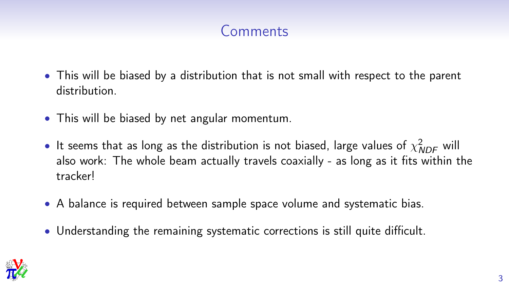#### Comments

- This will be biased by a distribution that is not small with respect to the parent distribution.
- This will be biased by net angular momentum.
- $\bullet$  It seems that as long as the distribution is not biased, large values of  $\chi^2_{\mathit{NDF}}$  will also work: The whole beam actually travels coaxially - as long as it fits within the tracker!
- A balance is required between sample space volume and systematic bias.
- Understanding the remaining systematic corrections is still quite difficult.

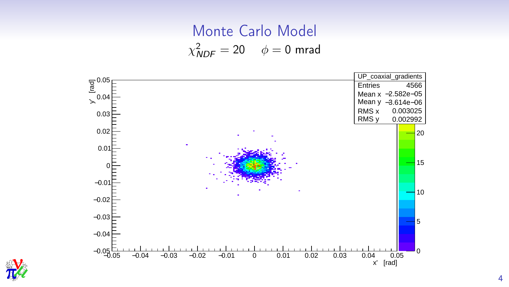# Monte Carlo Model  $\chi^2_{\text{NDF}} = 20 \quad \phi = 0$  mrad



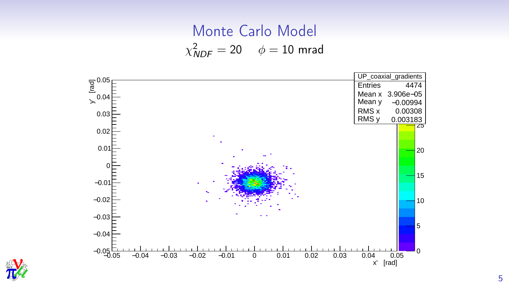# Monte Carlo Model  $\chi^2_{\text{NDF}} = 20 \quad \phi = 10 \text{ mrad}$



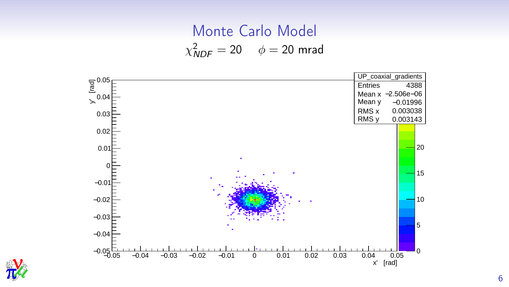# Monte Carlo Model  $\chi^2_{\text{NDF}} = 20$   $\phi = 20$  mrad



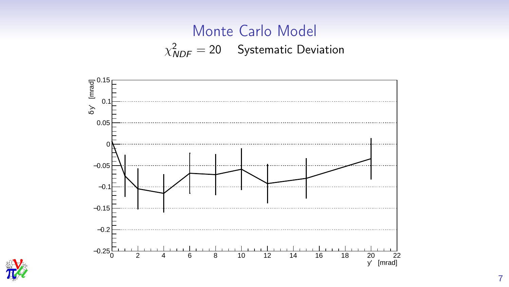# Monte Carlo Model  $\chi^{2}_{\text{NDF}} = 20$  Systematic Deviation



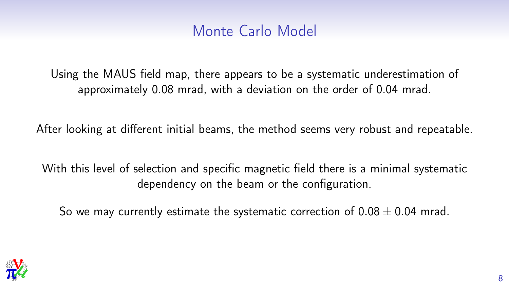#### Monte Carlo Model

Using the MAUS field map, there appears to be a systematic underestimation of approximately 0.08 mrad, with a deviation on the order of 0.04 mrad.

After looking at different initial beams, the method seems very robust and repeatable.

With this level of selection and specific magnetic field there is a minimal systematic dependency on the beam or the configuration.

So we may currently estimate the systematic correction of  $0.08 \pm 0.04$  mrad.

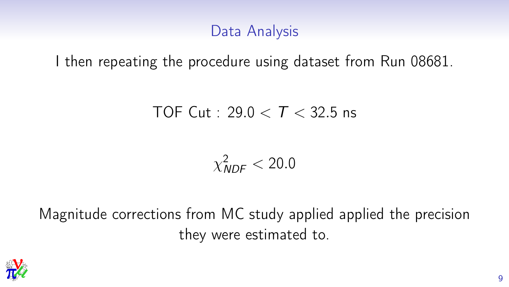#### Data Analysis

I then repeating the procedure using dataset from Run 08681.

#### TOF Cut : 29.0  $\lt T$   $\lt$  32.5 ns

 $\chi^2_{\textit{NDF}} < 20.0$ 

Magnitude corrections from MC study applied applied the precision they were estimated to.